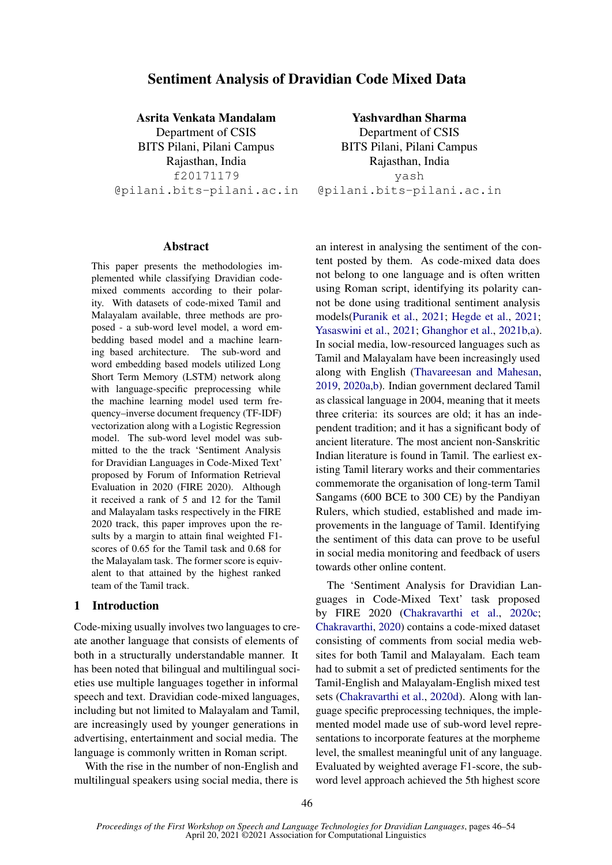# Sentiment Analysis of Dravidian Code Mixed Data

Asrita Venkata Mandalam Department of CSIS BITS Pilani, Pilani Campus Rajasthan, India f20171179 @pilani.bits-pilani.ac.in

Yashvardhan Sharma Department of CSIS BITS Pilani, Pilani Campus Rajasthan, India yash @pilani.bits-pilani.ac.in

## Abstract

This paper presents the methodologies implemented while classifying Dravidian codemixed comments according to their polarity. With datasets of code-mixed Tamil and Malayalam available, three methods are proposed - a sub-word level model, a word embedding based model and a machine learning based architecture. The sub-word and word embedding based models utilized Long Short Term Memory (LSTM) network along with language-specific preprocessing while the machine learning model used term frequency–inverse document frequency (TF-IDF) vectorization along with a Logistic Regression model. The sub-word level model was submitted to the the track 'Sentiment Analysis for Dravidian Languages in Code-Mixed Text' proposed by Forum of Information Retrieval Evaluation in 2020 (FIRE 2020). Although it received a rank of 5 and 12 for the Tamil and Malayalam tasks respectively in the FIRE 2020 track, this paper improves upon the results by a margin to attain final weighted F1 scores of 0.65 for the Tamil task and 0.68 for the Malayalam task. The former score is equivalent to that attained by the highest ranked team of the Tamil track.

## 1 Introduction

Code-mixing usually involves two languages to create another language that consists of elements of both in a structurally understandable manner. It has been noted that bilingual and multilingual societies use multiple languages together in informal speech and text. Dravidian code-mixed languages, including but not limited to Malayalam and Tamil, are increasingly used by younger generations in advertising, entertainment and social media. The language is commonly written in Roman script.

With the rise in the number of non-English and multilingual speakers using social media, there is an interest in analysing the sentiment of the content posted by them. As code-mixed data does not belong to one language and is often written using Roman script, identifying its polarity cannot be done using traditional sentiment analysis models[\(Puranik et al.,](#page-8-0) [2021;](#page-8-0) [Hegde et al.,](#page-7-0) [2021;](#page-7-0) [Yasaswini et al.,](#page-8-1) [2021;](#page-8-1) [Ghanghor et al.,](#page-7-1) [2021b](#page-7-1)[,a\)](#page-7-2). In social media, low-resourced languages such as Tamil and Malayalam have been increasingly used along with English [\(Thavareesan and Mahesan,](#page-8-2) [2019,](#page-8-2) [2020a](#page-8-3)[,b\)](#page-8-4). Indian government declared Tamil as classical language in 2004, meaning that it meets three criteria: its sources are old; it has an independent tradition; and it has a significant body of ancient literature. The most ancient non-Sanskritic Indian literature is found in Tamil. The earliest existing Tamil literary works and their commentaries commemorate the organisation of long-term Tamil Sangams (600 BCE to 300 CE) by the Pandiyan Rulers, which studied, established and made improvements in the language of Tamil. Identifying the sentiment of this data can prove to be useful in social media monitoring and feedback of users towards other online content.

The 'Sentiment Analysis for Dravidian Languages in Code-Mixed Text' task proposed by FIRE 2020 [\(Chakravarthi et al.,](#page-7-3) [2020c;](#page-7-3) [Chakravarthi,](#page-7-4) [2020\)](#page-7-4) contains a code-mixed dataset consisting of comments from social media websites for both Tamil and Malayalam. Each team had to submit a set of predicted sentiments for the Tamil-English and Malayalam-English mixed test sets [\(Chakravarthi et al.,](#page-7-5) [2020d\)](#page-7-5). Along with language specific preprocessing techniques, the implemented model made use of sub-word level representations to incorporate features at the morpheme level, the smallest meaningful unit of any language. Evaluated by weighted average F1-score, the subword level approach achieved the 5th highest score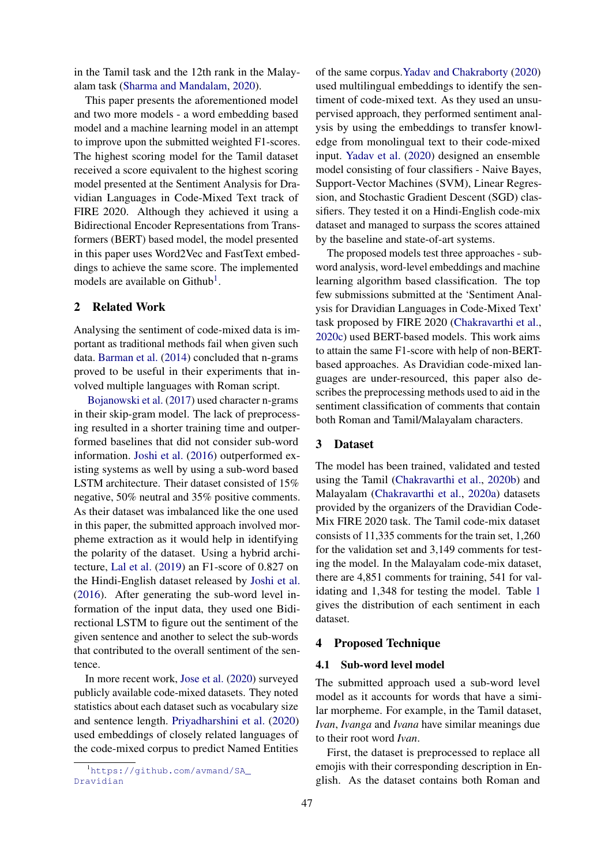in the Tamil task and the 12th rank in the Malayalam task [\(Sharma and Mandalam,](#page-8-5) [2020\)](#page-8-5).

This paper presents the aforementioned model and two more models - a word embedding based model and a machine learning model in an attempt to improve upon the submitted weighted F1-scores. The highest scoring model for the Tamil dataset received a score equivalent to the highest scoring model presented at the Sentiment Analysis for Dravidian Languages in Code-Mixed Text track of FIRE 2020. Although they achieved it using a Bidirectional Encoder Representations from Transformers (BERT) based model, the model presented in this paper uses Word2Vec and FastText embeddings to achieve the same score. The implemented models are available on Github<sup>[1](#page-1-0)</sup>.

### 2 Related Work

Analysing the sentiment of code-mixed data is important as traditional methods fail when given such data. [Barman et al.](#page-7-6) [\(2014\)](#page-7-6) concluded that n-grams proved to be useful in their experiments that involved multiple languages with Roman script.

[Bojanowski et al.](#page-7-7) [\(2017\)](#page-7-7) used character n-grams in their skip-gram model. The lack of preprocessing resulted in a shorter training time and outperformed baselines that did not consider sub-word information. [Joshi et al.](#page-7-8) [\(2016\)](#page-7-8) outperformed existing systems as well by using a sub-word based LSTM architecture. Their dataset consisted of 15% negative, 50% neutral and 35% positive comments. As their dataset was imbalanced like the one used in this paper, the submitted approach involved morpheme extraction as it would help in identifying the polarity of the dataset. Using a hybrid architecture, [Lal et al.](#page-7-9) [\(2019\)](#page-7-9) an F1-score of 0.827 on the Hindi-English dataset released by [Joshi et al.](#page-7-8) [\(2016\)](#page-7-8). After generating the sub-word level information of the input data, they used one Bidirectional LSTM to figure out the sentiment of the given sentence and another to select the sub-words that contributed to the overall sentiment of the sentence.

In more recent work, [Jose et al.](#page-7-10) [\(2020\)](#page-7-10) surveyed publicly available code-mixed datasets. They noted statistics about each dataset such as vocabulary size and sentence length. [Priyadharshini et al.](#page-8-6) [\(2020\)](#page-8-6) used embeddings of closely related languages of the code-mixed corpus to predict Named Entities

of the same corpus[.Yadav and Chakraborty](#page-8-7) [\(2020\)](#page-8-7) used multilingual embeddings to identify the sentiment of code-mixed text. As they used an unsupervised approach, they performed sentiment analysis by using the embeddings to transfer knowledge from monolingual text to their code-mixed input. [Yadav et al.](#page-8-8) [\(2020\)](#page-8-8) designed an ensemble model consisting of four classifiers - Naive Bayes, Support-Vector Machines (SVM), Linear Regression, and Stochastic Gradient Descent (SGD) classifiers. They tested it on a Hindi-English code-mix dataset and managed to surpass the scores attained by the baseline and state-of-art systems.

The proposed models test three approaches - subword analysis, word-level embeddings and machine learning algorithm based classification. The top few submissions submitted at the 'Sentiment Analysis for Dravidian Languages in Code-Mixed Text' task proposed by FIRE 2020 [\(Chakravarthi et al.,](#page-7-3) [2020c\)](#page-7-3) used BERT-based models. This work aims to attain the same F1-score with help of non-BERTbased approaches. As Dravidian code-mixed languages are under-resourced, this paper also describes the preprocessing methods used to aid in the sentiment classification of comments that contain both Roman and Tamil/Malayalam characters.

## 3 Dataset

The model has been trained, validated and tested using the Tamil [\(Chakravarthi et al.,](#page-7-11) [2020b\)](#page-7-11) and Malayalam [\(Chakravarthi et al.,](#page-7-12) [2020a\)](#page-7-12) datasets provided by the organizers of the Dravidian Code-Mix FIRE 2020 task. The Tamil code-mix dataset consists of 11,335 comments for the train set, 1,260 for the validation set and 3,149 comments for testing the model. In the Malayalam code-mix dataset, there are 4,851 comments for training, 541 for validating and 1,348 for testing the model. Table [1](#page-2-0) gives the distribution of each sentiment in each dataset.

## 4 Proposed Technique

## 4.1 Sub-word level model

The submitted approach used a sub-word level model as it accounts for words that have a similar morpheme. For example, in the Tamil dataset, *Ivan*, *Ivanga* and *Ivana* have similar meanings due to their root word *Ivan*.

First, the dataset is preprocessed to replace all emojis with their corresponding description in English. As the dataset contains both Roman and

<span id="page-1-0"></span><sup>1</sup>[https://github.com/avmand/SA\\_](https://github.com/avmand/SA_Dravidian) [Dravidian](https://github.com/avmand/SA_Dravidian)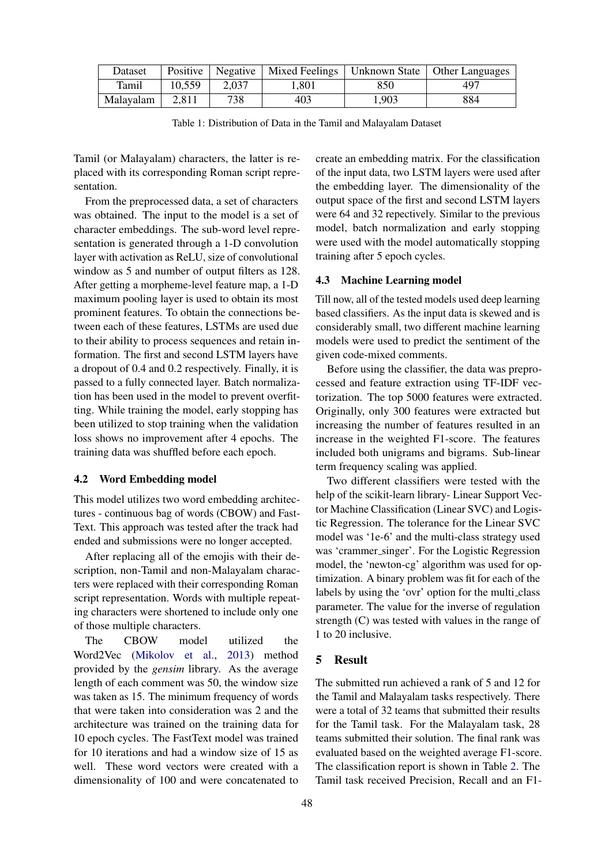<span id="page-2-0"></span>

| Dataset   |        |       | Positive   Negative   Mixed Feelings |       | $\mid$ Unknown State $\mid$ Other Languages |
|-----------|--------|-------|--------------------------------------|-------|---------------------------------------------|
| Tamil     | 10.559 | 2,037 | 1.801                                | 850   | 497                                         |
| Malayalam | 2.811  | 738   | 403                                  | 1,903 | 884                                         |

Table 1: Distribution of Data in the Tamil and Malayalam Dataset

Tamil (or Malayalam) characters, the latter is replaced with its corresponding Roman script representation.

From the preprocessed data, a set of characters was obtained. The input to the model is a set of character embeddings. The sub-word level representation is generated through a 1-D convolution layer with activation as ReLU, size of convolutional window as 5 and number of output filters as 128. After getting a morpheme-level feature map, a 1-D maximum pooling layer is used to obtain its most prominent features. To obtain the connections between each of these features, LSTMs are used due to their ability to process sequences and retain information. The first and second LSTM layers have a dropout of 0.4 and 0.2 respectively. Finally, it is passed to a fully connected layer. Batch normalization has been used in the model to prevent overfitting. While training the model, early stopping has been utilized to stop training when the validation loss shows no improvement after 4 epochs. The training data was shuffled before each epoch.

## 4.2 Word Embedding model

This model utilizes two word embedding architectures - continuous bag of words (CBOW) and Fast-Text. This approach was tested after the track had ended and submissions were no longer accepted.

After replacing all of the emojis with their description, non-Tamil and non-Malayalam characters were replaced with their corresponding Roman script representation. Words with multiple repeating characters were shortened to include only one of those multiple characters.

The CBOW model utilized the Word2Vec [\(Mikolov et al.,](#page-8-9) [2013\)](#page-8-9) method provided by the *gensim* library. As the average length of each comment was 50, the window size was taken as 15. The minimum frequency of words that were taken into consideration was 2 and the architecture was trained on the training data for 10 epoch cycles. The FastText model was trained for 10 iterations and had a window size of 15 as well. These word vectors were created with a dimensionality of 100 and were concatenated to

create an embedding matrix. For the classification of the input data, two LSTM layers were used after the embedding layer. The dimensionality of the output space of the first and second LSTM layers were 64 and 32 repectively. Similar to the previous model, batch normalization and early stopping were used with the model automatically stopping training after 5 epoch cycles.

#### 4.3 Machine Learning model

Till now, all of the tested models used deep learning based classifiers. As the input data is skewed and is considerably small, two different machine learning models were used to predict the sentiment of the given code-mixed comments.

Before using the classifier, the data was preprocessed and feature extraction using TF-IDF vectorization. The top 5000 features were extracted. Originally, only 300 features were extracted but increasing the number of features resulted in an increase in the weighted F1-score. The features included both unigrams and bigrams. Sub-linear term frequency scaling was applied.

Two different classifiers were tested with the help of the scikit-learn library- Linear Support Vector Machine Classification (Linear SVC) and Logistic Regression. The tolerance for the Linear SVC model was '1e-6' and the multi-class strategy used was 'crammer singer'. For the Logistic Regression model, the 'newton-cg' algorithm was used for optimization. A binary problem was fit for each of the labels by using the 'ovr' option for the multi class parameter. The value for the inverse of regulation strength (C) was tested with values in the range of 1 to 20 inclusive.

## 5 Result

The submitted run achieved a rank of 5 and 12 for the Tamil and Malayalam tasks respectively. There were a total of 32 teams that submitted their results for the Tamil task. For the Malayalam task, 28 teams submitted their solution. The final rank was evaluated based on the weighted average F1-score. The classification report is shown in Table [2.](#page-4-0) The Tamil task received Precision, Recall and an F1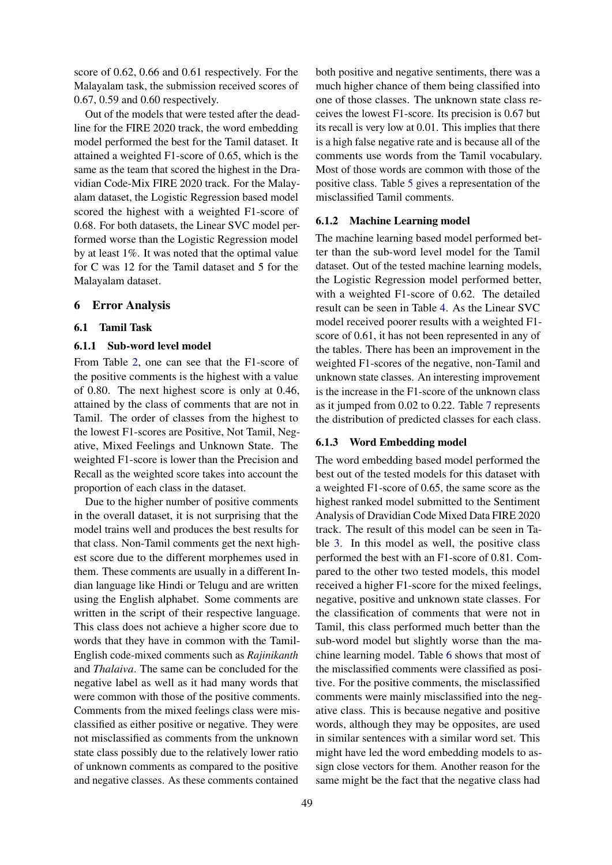score of 0.62, 0.66 and 0.61 respectively. For the Malayalam task, the submission received scores of 0.67, 0.59 and 0.60 respectively.

Out of the models that were tested after the deadline for the FIRE 2020 track, the word embedding model performed the best for the Tamil dataset. It attained a weighted F1-score of 0.65, which is the same as the team that scored the highest in the Dravidian Code-Mix FIRE 2020 track. For the Malayalam dataset, the Logistic Regression based model scored the highest with a weighted F1-score of 0.68. For both datasets, the Linear SVC model performed worse than the Logistic Regression model by at least 1%. It was noted that the optimal value for C was 12 for the Tamil dataset and 5 for the Malayalam dataset.

## 6 Error Analysis

#### 6.1 Tamil Task

#### 6.1.1 Sub-word level model

From Table [2,](#page-4-0) one can see that the F1-score of the positive comments is the highest with a value of 0.80. The next highest score is only at 0.46, attained by the class of comments that are not in Tamil. The order of classes from the highest to the lowest F1-scores are Positive, Not Tamil, Negative, Mixed Feelings and Unknown State. The weighted F1-score is lower than the Precision and Recall as the weighted score takes into account the proportion of each class in the dataset.

Due to the higher number of positive comments in the overall dataset, it is not surprising that the model trains well and produces the best results for that class. Non-Tamil comments get the next highest score due to the different morphemes used in them. These comments are usually in a different Indian language like Hindi or Telugu and are written using the English alphabet. Some comments are written in the script of their respective language. This class does not achieve a higher score due to words that they have in common with the Tamil-English code-mixed comments such as *Rajinikanth* and *Thalaiva*. The same can be concluded for the negative label as well as it had many words that were common with those of the positive comments. Comments from the mixed feelings class were misclassified as either positive or negative. They were not misclassified as comments from the unknown state class possibly due to the relatively lower ratio of unknown comments as compared to the positive and negative classes. As these comments contained

both positive and negative sentiments, there was a much higher chance of them being classified into one of those classes. The unknown state class receives the lowest F1-score. Its precision is 0.67 but its recall is very low at 0.01. This implies that there is a high false negative rate and is because all of the comments use words from the Tamil vocabulary. Most of those words are common with those of the positive class. Table [5](#page-6-0) gives a representation of the misclassified Tamil comments.

#### 6.1.2 Machine Learning model

The machine learning based model performed better than the sub-word level model for the Tamil dataset. Out of the tested machine learning models, the Logistic Regression model performed better, with a weighted F1-score of 0.62. The detailed result can be seen in Table [4.](#page-4-1) As the Linear SVC model received poorer results with a weighted F1 score of 0.61, it has not been represented in any of the tables. There has been an improvement in the weighted F1-scores of the negative, non-Tamil and unknown state classes. An interesting improvement is the increase in the F1-score of the unknown class as it jumped from 0.02 to 0.22. Table [7](#page-6-1) represents the distribution of predicted classes for each class.

## 6.1.3 Word Embedding model

The word embedding based model performed the best out of the tested models for this dataset with a weighted F1-score of 0.65, the same score as the highest ranked model submitted to the Sentiment Analysis of Dravidian Code Mixed Data FIRE 2020 track. The result of this model can be seen in Table [3.](#page-4-2) In this model as well, the positive class performed the best with an F1-score of 0.81. Compared to the other two tested models, this model received a higher F1-score for the mixed feelings, negative, positive and unknown state classes. For the classification of comments that were not in Tamil, this class performed much better than the sub-word model but slightly worse than the machine learning model. Table [6](#page-6-2) shows that most of the misclassified comments were classified as positive. For the positive comments, the misclassified comments were mainly misclassified into the negative class. This is because negative and positive words, although they may be opposites, are used in similar sentences with a similar word set. This might have led the word embedding models to assign close vectors for them. Another reason for the same might be the fact that the negative class had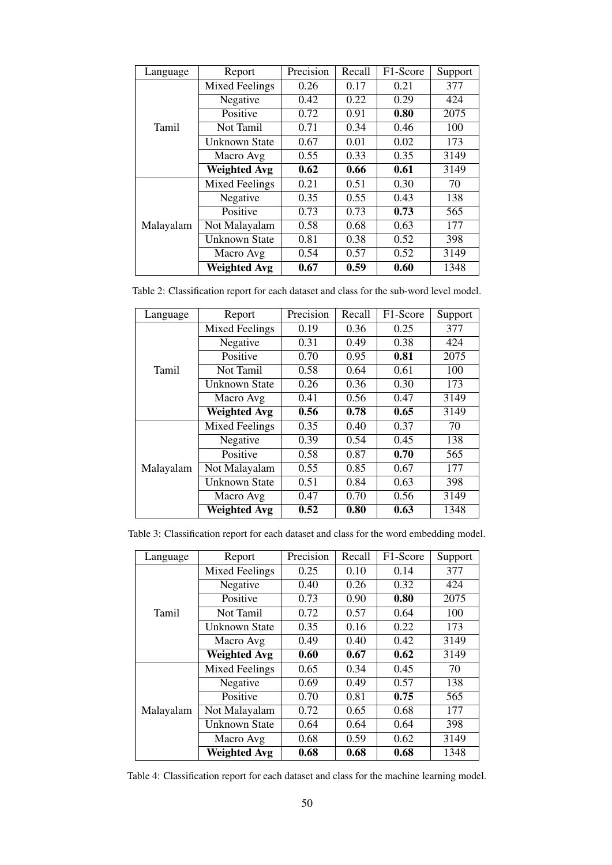<span id="page-4-0"></span>

| Language  | Report                | Precision | Recall | F1-Score | Support |
|-----------|-----------------------|-----------|--------|----------|---------|
|           | <b>Mixed Feelings</b> | 0.26      | 0.17   | 0.21     | 377     |
|           | Negative              | 0.42      | 0.22   | 0.29     | 424     |
|           | Positive              | 0.72      | 0.91   | 0.80     | 2075    |
| Tamil     | Not Tamil             | 0.71      | 0.34   | 0.46     | 100     |
|           | Unknown State         | 0.67      | 0.01   | 0.02     | 173     |
|           | Macro Avg             | 0.55      | 0.33   | 0.35     | 3149    |
|           | <b>Weighted Avg</b>   | 0.62      | 0.66   | 0.61     | 3149    |
|           | <b>Mixed Feelings</b> | 0.21      | 0.51   | 0.30     | 70      |
|           | Negative              | 0.35      | 0.55   | 0.43     | 138     |
|           | Positive              | 0.73      | 0.73   | 0.73     | 565     |
| Malayalam | Not Malayalam         | 0.58      | 0.68   | 0.63     | 177     |
|           | <b>Unknown State</b>  | 0.81      | 0.38   | 0.52     | 398     |
|           | Macro Avg             | 0.54      | 0.57   | 0.52     | 3149    |
|           | <b>Weighted Avg</b>   | 0.67      | 0.59   | 0.60     | 1348    |

<span id="page-4-2"></span>Table 2: Classification report for each dataset and class for the sub-word level model.

| Language  | Report                | Precision | Recall | F1-Score | Support |
|-----------|-----------------------|-----------|--------|----------|---------|
|           | <b>Mixed Feelings</b> | 0.19      | 0.36   | 0.25     | 377     |
|           | Negative              | 0.31      | 0.49   | 0.38     | 424     |
|           | Positive              | 0.70      | 0.95   | 0.81     | 2075    |
| Tamil     | Not Tamil             | 0.58      | 0.64   | 0.61     | 100     |
|           | Unknown State         | 0.26      | 0.36   | 0.30     | 173     |
|           | Macro Avg             | 0.41      | 0.56   | 0.47     | 3149    |
|           | <b>Weighted Avg</b>   | 0.56      | 0.78   | 0.65     | 3149    |
| Malayalam | <b>Mixed Feelings</b> | 0.35      | 0.40   | 0.37     | 70      |
|           | Negative              | 0.39      | 0.54   | 0.45     | 138     |
|           | Positive              | 0.58      | 0.87   | 0.70     | 565     |
|           | Not Malayalam         | 0.55      | 0.85   | 0.67     | 177     |
|           | Unknown State         | 0.51      | 0.84   | 0.63     | 398     |
|           | Macro Avg             | 0.47      | 0.70   | 0.56     | 3149    |
|           | <b>Weighted Avg</b>   | 0.52      | 0.80   | 0.63     | 1348    |

<span id="page-4-1"></span>

| Language  | Report                | Precision | Recall | F1-Score | Support |
|-----------|-----------------------|-----------|--------|----------|---------|
|           | <b>Mixed Feelings</b> | 0.25      | 0.10   | 0.14     | 377     |
|           | Negative              | 0.40      | 0.26   | 0.32     | 424     |
|           | Positive              | 0.73      | 0.90   | 0.80     | 2075    |
| Tamil     | Not Tamil             | 0.72      | 0.57   | 0.64     | 100     |
|           | Unknown State         | 0.35      | 0.16   | 0.22     | 173     |
|           | Macro Avg             | 0.49      | 0.40   | 0.42     | 3149    |
|           | <b>Weighted Avg</b>   | 0.60      | 0.67   | 0.62     | 3149    |
|           | <b>Mixed Feelings</b> | 0.65      | 0.34   | 0.45     | 70      |
|           | Negative              | 0.69      | 0.49   | 0.57     | 138     |
|           | Positive              | 0.70      | 0.81   | 0.75     | 565     |
| Malayalam | Not Malayalam         | 0.72      | 0.65   | 0.68     | 177     |
|           | <b>Unknown State</b>  | 0.64      | 0.64   | 0.64     | 398     |
|           | Macro Avg             | 0.68      | 0.59   | 0.62     | 3149    |
|           | <b>Weighted Avg</b>   | 0.68      | 0.68   | 0.68     | 1348    |

Table 4: Classification report for each dataset and class for the machine learning model.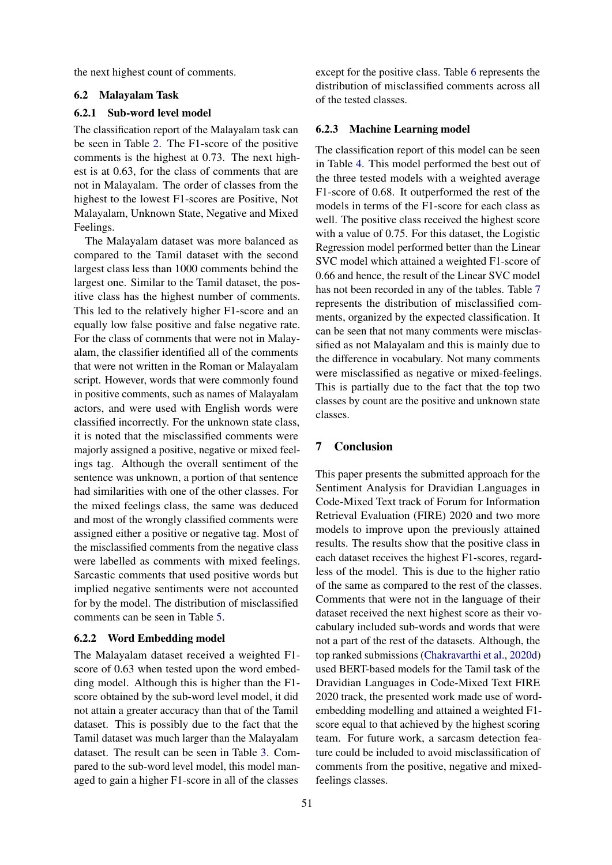the next highest count of comments.

## 6.2 Malayalam Task

## 6.2.1 Sub-word level model

The classification report of the Malayalam task can be seen in Table [2.](#page-4-0) The F1-score of the positive comments is the highest at 0.73. The next highest is at 0.63, for the class of comments that are not in Malayalam. The order of classes from the highest to the lowest F1-scores are Positive, Not Malayalam, Unknown State, Negative and Mixed Feelings.

The Malayalam dataset was more balanced as compared to the Tamil dataset with the second largest class less than 1000 comments behind the largest one. Similar to the Tamil dataset, the positive class has the highest number of comments. This led to the relatively higher F1-score and an equally low false positive and false negative rate. For the class of comments that were not in Malayalam, the classifier identified all of the comments that were not written in the Roman or Malayalam script. However, words that were commonly found in positive comments, such as names of Malayalam actors, and were used with English words were classified incorrectly. For the unknown state class, it is noted that the misclassified comments were majorly assigned a positive, negative or mixed feelings tag. Although the overall sentiment of the sentence was unknown, a portion of that sentence had similarities with one of the other classes. For the mixed feelings class, the same was deduced and most of the wrongly classified comments were assigned either a positive or negative tag. Most of the misclassified comments from the negative class were labelled as comments with mixed feelings. Sarcastic comments that used positive words but implied negative sentiments were not accounted for by the model. The distribution of misclassified comments can be seen in Table [5.](#page-6-0)

#### 6.2.2 Word Embedding model

The Malayalam dataset received a weighted F1 score of 0.63 when tested upon the word embedding model. Although this is higher than the F1 score obtained by the sub-word level model, it did not attain a greater accuracy than that of the Tamil dataset. This is possibly due to the fact that the Tamil dataset was much larger than the Malayalam dataset. The result can be seen in Table [3.](#page-4-2) Compared to the sub-word level model, this model managed to gain a higher F1-score in all of the classes

except for the positive class. Table [6](#page-6-2) represents the distribution of misclassified comments across all of the tested classes.

### 6.2.3 Machine Learning model

The classification report of this model can be seen in Table [4.](#page-4-1) This model performed the best out of the three tested models with a weighted average F1-score of 0.68. It outperformed the rest of the models in terms of the F1-score for each class as well. The positive class received the highest score with a value of 0.75. For this dataset, the Logistic Regression model performed better than the Linear SVC model which attained a weighted F1-score of 0.66 and hence, the result of the Linear SVC model has not been recorded in any of the tables. Table [7](#page-6-1) represents the distribution of misclassified comments, organized by the expected classification. It can be seen that not many comments were misclassified as not Malayalam and this is mainly due to the difference in vocabulary. Not many comments were misclassified as negative or mixed-feelings. This is partially due to the fact that the top two classes by count are the positive and unknown state classes.

## 7 Conclusion

This paper presents the submitted approach for the Sentiment Analysis for Dravidian Languages in Code-Mixed Text track of Forum for Information Retrieval Evaluation (FIRE) 2020 and two more models to improve upon the previously attained results. The results show that the positive class in each dataset receives the highest F1-scores, regardless of the model. This is due to the higher ratio of the same as compared to the rest of the classes. Comments that were not in the language of their dataset received the next highest score as their vocabulary included sub-words and words that were not a part of the rest of the datasets. Although, the top ranked submissions [\(Chakravarthi et al.,](#page-7-5) [2020d\)](#page-7-5) used BERT-based models for the Tamil task of the Dravidian Languages in Code-Mixed Text FIRE 2020 track, the presented work made use of wordembedding modelling and attained a weighted F1 score equal to that achieved by the highest scoring team. For future work, a sarcasm detection feature could be included to avoid misclassification of comments from the positive, negative and mixedfeelings classes.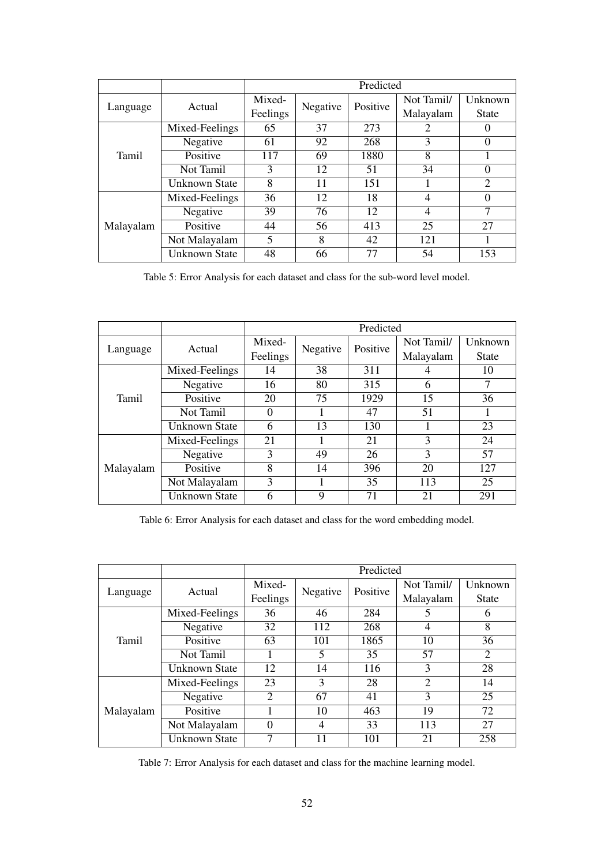<span id="page-6-0"></span>

|           |                      | Predicted |          |          |            |              |  |
|-----------|----------------------|-----------|----------|----------|------------|--------------|--|
| Language  | Actual               | Mixed-    | Negative | Positive | Not Tamil/ | Unknown      |  |
|           |                      | Feelings  |          |          | Malayalam  | <b>State</b> |  |
|           | Mixed-Feelings       | 65        | 37       | 273      | 2          | $\Omega$     |  |
|           | Negative             | 61        | 92       | 268      | 3          | 0            |  |
| Tamil     | Positive             | 117       | 69       | 1880     | 8          |              |  |
|           | Not Tamil            | 3         | 12       | 51       | 34         | 0            |  |
|           | <b>Unknown State</b> | 8         | 11       | 151      |            | 2            |  |
| Malayalam | Mixed-Feelings       | 36        | 12       | 18       | 4          | 0            |  |
|           | Negative             | 39        | 76       | 12       | 4          | 7            |  |
|           | Positive             | 44        | 56       | 413      | 25         | 27           |  |
|           | Not Malayalam        | 5         | 8        | 42       | 121        |              |  |
|           | <b>Unknown State</b> | 48        | 66       | 77       | 54         | 153          |  |

Table 5: Error Analysis for each dataset and class for the sub-word level model.

<span id="page-6-2"></span>

|           |                | Predicted |          |          |            |              |  |
|-----------|----------------|-----------|----------|----------|------------|--------------|--|
| Language  | Actual         | Mixed-    | Negative | Positive | Not Tamil/ | Unknown      |  |
|           |                | Feelings  |          |          | Malayalam  | <b>State</b> |  |
|           | Mixed-Feelings | 14        | 38       | 311      |            | 10           |  |
|           | Negative       | 16        | 80       | 315      | 6          | 7            |  |
| Tamil     | Positive       | 20        | 75       | 1929     | 15         | 36           |  |
|           | Not Tamil      | $\theta$  |          | 47       | 51         |              |  |
|           | Unknown State  | 6         | 13       | 130      |            | 23           |  |
| Malayalam | Mixed-Feelings | 21        |          | 21       | 3          | 24           |  |
|           | Negative       | 3         | 49       | 26       | 3          | 57           |  |
|           | Positive       | 8         | 14       | 396      | 20         | 127          |  |
|           | Not Malayalam  | 3         |          | 35       | 113        | 25           |  |
|           | Unknown State  | 6         | 9        | 71       | 21         | 291          |  |

Table 6: Error Analysis for each dataset and class for the word embedding model.

<span id="page-6-1"></span>

|           |                | Predicted      |          |          |                |                |  |
|-----------|----------------|----------------|----------|----------|----------------|----------------|--|
| Language  | Actual         | Mixed-         | Negative | Positive | Not Tamil/     | Unknown        |  |
|           |                | Feelings       |          |          | Malayalam      | <b>State</b>   |  |
|           | Mixed-Feelings | 36             | 46       | 284      | 5              | 6              |  |
|           | Negative       | 32             | 112      | 268      | 4              | 8              |  |
| Tamil     | Positive       | 63             | 101      | 1865     | 10             | 36             |  |
|           | Not Tamil      |                | 5        | 35       | 57             | $\overline{2}$ |  |
|           | Unknown State  | 12             | 14       | 116      | 3              | 28             |  |
|           | Mixed-Feelings | 23             | 3        | 28       | $\overline{2}$ | 14             |  |
|           | Negative       | $\overline{2}$ | 67       | 41       | 3              | 25             |  |
| Malayalam | Positive       |                | 10       | 463      | 19             | 72             |  |
|           | Not Malayalam  | $\Omega$       | 4        | 33       | 113            | 27             |  |
|           | Unknown State  |                | 11       | 101      | 21             | 258            |  |

Table 7: Error Analysis for each dataset and class for the machine learning model.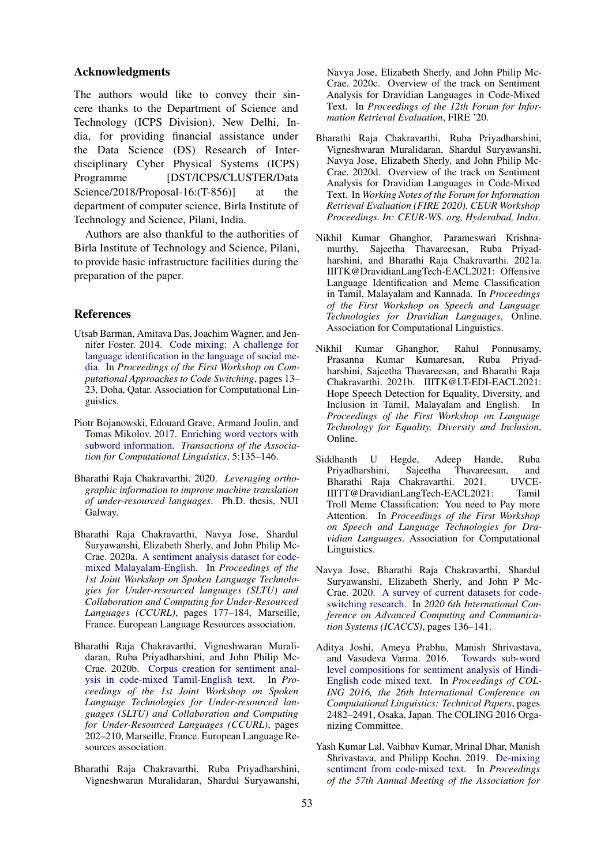### Acknowledgments

The authors would like to convey their sincere thanks to the Department of Science and Technology (ICPS Division), New Delhi, India, for providing financial assistance under the Data Science (DS) Research of Interdisciplinary Cyber Physical Systems (ICPS) Programme [DST/ICPS/CLUSTER/Data] Science/2018/Proposal-16:(T-856)] at the department of computer science, Birla Institute of Technology and Science, Pilani, India.

Authors are also thankful to the authorities of Birla Institute of Technology and Science, Pilani, to provide basic infrastructure facilities during the preparation of the paper.

## References

- <span id="page-7-6"></span>Utsab Barman, Amitava Das, Joachim Wagner, and Jennifer Foster. 2014. [Code mixing: A challenge for](https://doi.org/10.3115/v1/W14-3902) [language identification in the language of social me](https://doi.org/10.3115/v1/W14-3902)[dia.](https://doi.org/10.3115/v1/W14-3902) In *Proceedings of the First Workshop on Computational Approaches to Code Switching*, pages 13– 23, Doha, Qatar. Association for Computational Linguistics.
- <span id="page-7-7"></span>Piotr Bojanowski, Edouard Grave, Armand Joulin, and Tomas Mikolov. 2017. [Enriching word vectors with](https://doi.org/10.1162/tacl_a_00051) [subword information.](https://doi.org/10.1162/tacl_a_00051) *Transactions of the Association for Computational Linguistics*, 5:135–146.
- <span id="page-7-4"></span>Bharathi Raja Chakravarthi. 2020. *Leveraging orthographic information to improve machine translation of under-resourced languages*. Ph.D. thesis, NUI Galway.
- <span id="page-7-12"></span>Bharathi Raja Chakravarthi, Navya Jose, Shardul Suryawanshi, Elizabeth Sherly, and John Philip Mc-Crae. 2020a. [A sentiment analysis dataset for code](https://www.aclweb.org/anthology/2020.sltu-1.25)[mixed Malayalam-English.](https://www.aclweb.org/anthology/2020.sltu-1.25) In *Proceedings of the 1st Joint Workshop on Spoken Language Technologies for Under-resourced languages (SLTU) and Collaboration and Computing for Under-Resourced Languages (CCURL)*, pages 177–184, Marseille, France. European Language Resources association.
- <span id="page-7-11"></span>Bharathi Raja Chakravarthi, Vigneshwaran Muralidaran, Ruba Priyadharshini, and John Philip Mc-Crae. 2020b. [Corpus creation for sentiment anal](https://www.aclweb.org/anthology/2020.sltu-1.28)[ysis in code-mixed Tamil-English text.](https://www.aclweb.org/anthology/2020.sltu-1.28) In *Proceedings of the 1st Joint Workshop on Spoken Language Technologies for Under-resourced languages (SLTU) and Collaboration and Computing for Under-Resourced Languages (CCURL)*, pages 202–210, Marseille, France. European Language Resources association.
- <span id="page-7-3"></span>Bharathi Raja Chakravarthi, Ruba Priyadharshini, Vigneshwaran Muralidaran, Shardul Suryawanshi,

Navya Jose, Elizabeth Sherly, and John Philip Mc-Crae. 2020c. Overview of the track on Sentiment Analysis for Dravidian Languages in Code-Mixed Text. In *Proceedings of the 12th Forum for Information Retrieval Evaluation*, FIRE '20.

- <span id="page-7-5"></span>Bharathi Raja Chakravarthi, Ruba Priyadharshini, Vigneshwaran Muralidaran, Shardul Suryawanshi, Navya Jose, Elizabeth Sherly, and John Philip Mc-Crae. 2020d. Overview of the track on Sentiment Analysis for Dravidian Languages in Code-Mixed Text. In *Working Notes of the Forum for Information Retrieval Evaluation (FIRE 2020). CEUR Workshop Proceedings. In: CEUR-WS. org, Hyderabad, India*.
- <span id="page-7-2"></span>Nikhil Kumar Ghanghor, Parameswari Krishnamurthy, Sajeetha Thavareesan, Ruba Priyadharshini, and Bharathi Raja Chakravarthi. 2021a. IIITK@DravidianLangTech-EACL2021: Offensive Language Identification and Meme Classification in Tamil, Malayalam and Kannada. In *Proceedings of the First Workshop on Speech and Language Technologies for Dravidian Languages*, Online. Association for Computational Linguistics.
- <span id="page-7-1"></span>Nikhil Kumar Ghanghor, Rahul Ponnusamy, Prasanna Kumar Kumaresan, Ruba Priyadharshini, Sajeetha Thavareesan, and Bharathi Raja Chakravarthi. 2021b. IIITK@LT-EDI-EACL2021: Hope Speech Detection for Equality, Diversity, and Inclusion in Tamil, Malayalam and English. In *Proceedings of the First Workshop on Language Technology for Equality, Diversity and Inclusion*, Online.
- <span id="page-7-0"></span>Siddhanth U Hegde, Adeep Hande, Ruba Priyadharshini, Sajeetha Thavareesan, and<br>Bharathi Raja Chakravarthi, 2021, UVCE-Bharathi Raja Chakravarthi. 2021. IIITT@DravidianLangTech-EACL2021: Tamil Troll Meme Classification: You need to Pay more Attention. In *Proceedings of the First Workshop on Speech and Language Technologies for Dravidian Languages*. Association for Computational Linguistics.
- <span id="page-7-10"></span>Navya Jose, Bharathi Raja Chakravarthi, Shardul Suryawanshi, Elizabeth Sherly, and John P Mc-Crae. 2020. [A survey of current datasets for code](https://doi.org/10.1109/ICACCS48705.2020.9074205)[switching research.](https://doi.org/10.1109/ICACCS48705.2020.9074205) In *2020 6th International Conference on Advanced Computing and Communication Systems (ICACCS)*, pages 136–141.
- <span id="page-7-8"></span>Aditya Joshi, Ameya Prabhu, Manish Shrivastava, and Vasudeva Varma. 2016. [Towards sub-word](https://www.aclweb.org/anthology/C16-1234) [level compositions for sentiment analysis of Hindi-](https://www.aclweb.org/anthology/C16-1234)[English code mixed text.](https://www.aclweb.org/anthology/C16-1234) In *Proceedings of COL-ING 2016, the 26th International Conference on Computational Linguistics: Technical Papers*, pages 2482–2491, Osaka, Japan. The COLING 2016 Organizing Committee.
- <span id="page-7-9"></span>Yash Kumar Lal, Vaibhav Kumar, Mrinal Dhar, Manish Shrivastava, and Philipp Koehn. 2019. [De-mixing](https://doi.org/10.18653/v1/P19-2052) [sentiment from code-mixed text.](https://doi.org/10.18653/v1/P19-2052) In *Proceedings of the 57th Annual Meeting of the Association for*